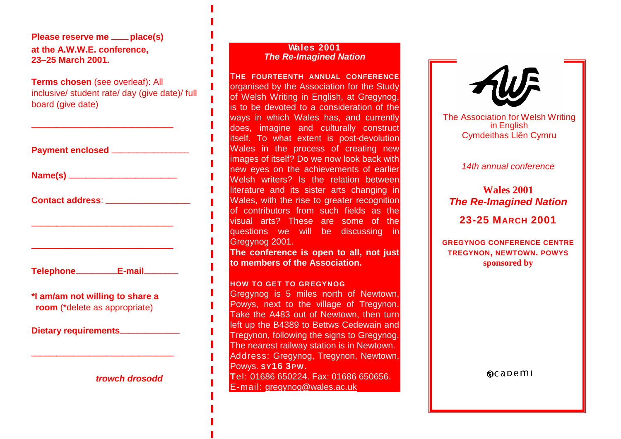**Please reserve me** ——**place(s) at the A.W.W.E. conference, 23–25 March 2001.**

**Terms chosen** (see overleaf): All inclusive/ student rate/ day (give date)/ full board (give date)

—————————————————

|                                                                  | Payment enclosed _________________   |  |
|------------------------------------------------------------------|--------------------------------------|--|
|                                                                  |                                      |  |
|                                                                  | Contact address: ___________________ |  |
|                                                                  |                                      |  |
|                                                                  |                                      |  |
|                                                                  | Telephone___________E-mail________   |  |
| *I am/am not willing to share a<br>room (*delete as appropriate) |                                      |  |
|                                                                  | Dietary requirements_____________    |  |
|                                                                  |                                      |  |

#### **Wales 2001** *The Re-Imagined Nation*

T**HE FOURTEENTH ANNUAL CONFERENCE** organised by the Association for the Study of Welsh Writing in English, at Gregynog, is to be devoted to a consideration of the ways in which Wales has, and currently does, imagine and culturally construct itself. To what extent is post-devolution Wales in the process of creating new images of itself? Do we now look back with new eyes on the achievements of earlier Welsh writers? Is the relation between literature and its sister arts changing in Wales, with the rise to greater recognition of contributors from such fields as the visual arts? These are some of the questions we will be discussing in Gregynog 2001.

**The conference is open to all, not just to members of the Association.**

### **HOW TO GET TO GREGYNOG**

Gregynog is 5 miles north of Newtown, Powys, next to the village of Tregynon. Take the A483 out of Newtown, then turn left up the B4389 to Bettws Cedewain and Tregynon, following the signs to Gregynog. The nearest railway station is in Newtown. Address: Gregynog, Tregynon, Newtown, Powys. **SY16 3PW. sponsored by T**el: 01686 650224. Fax: 01686 650656. E-mail: gregynog**@**[wales.ac.uk](mailto:gregynog@wales.ac.uk)



The Association for Welsh Writing in English Cymdeithas Llên Cymru

### *14th annual conference*

# **Wales 2001** *The Re-Imagined Nation*

# **23-25 MARCH 2001**

**GREGYNOG CONFERENCE CENTRE TREGYNON, NEWTOWN. POWYS sponsored by**

 $\alpha$ capemi

*trowch drosodd*